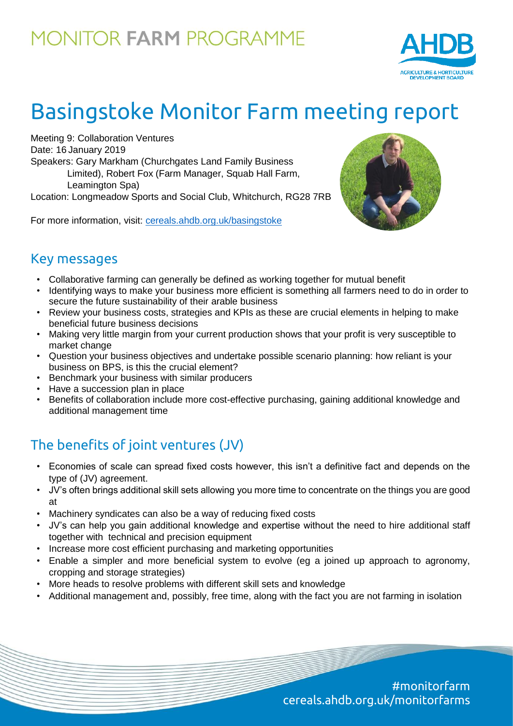

# Basingstoke Monitor Farm meeting report

Meeting 9: Collaboration Ventures Date: 16 January 2019 Speakers: Gary Markham (Churchgates Land Family Business Limited), Robert Fox (Farm Manager, Squab Hall Farm, Leamington Spa) Location: Longmeadow Sports and Social Club, Whitchurch, RG28 7RB

For more information, visit: [cereals.ahdb.org.uk/b](https://cereals.ahdb.org.uk/get-involved/monitorfarms/saltburn-monitor-farm.aspx)asingstoke



### Key messages

- Collaborative farming can generally be defined as working together for mutual benefit
- Identifying ways to make your business more efficient is something all farmers need to do in order to secure the future sustainability of their arable business
- Review your business costs, strategies and KPIs as these are crucial elements in helping to make beneficial future business decisions
- Making very little margin from your current production shows that your profit is very susceptible to market change
- Question your business objectives and undertake possible scenario planning: how reliant is your business on BPS, is this the crucial element?
- Benchmark your business with similar producers
- Have a succession plan in place
- Benefits of collaboration include more cost-effective purchasing, gaining additional knowledge and additional management time

### The benefits of joint ventures (JV)

- Economies of scale can spread fixed costs however, this isn't a definitive fact and depends on the type of (JV) agreement.
- JV's often brings additional skill sets allowing you more time to concentrate on the things you are good at
- Machinery syndicates can also be a way of reducing fixed costs
- JV's can help you gain additional knowledge and expertise without the need to hire additional staff together with technical and precision equipment
- Increase more cost efficient purchasing and marketing opportunities
- Enable a simpler and more beneficial system to evolve (eg a joined up approach to agronomy, cropping and storage strategies)
- More heads to resolve problems with different skill sets and knowledge
- Additional management and, possibly, free time, along with the fact you are not farming in isolation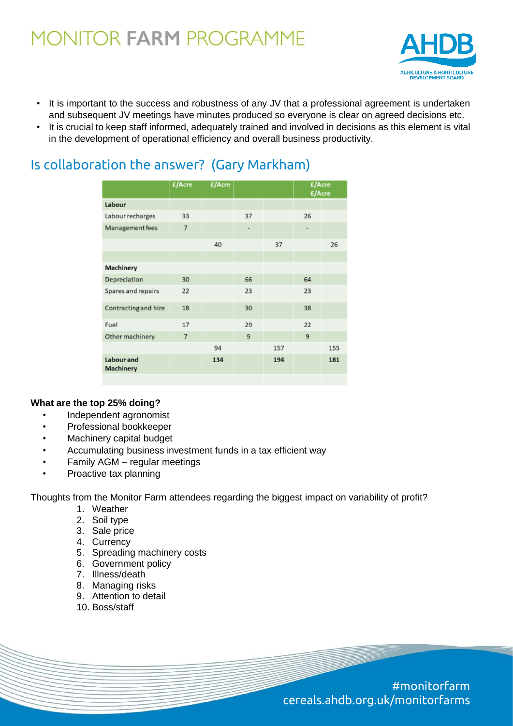

- It is important to the success and robustness of any JV that a professional agreement is undertaken and subsequent JV meetings have minutes produced so everyone is clear on agreed decisions etc.
- It is crucial to keep staff informed, adequately trained and involved in decisions as this element is vital in the development of operational efficiency and overall business productivity.

| Is collaboration the answer? (Gary Markham) |  |
|---------------------------------------------|--|
|                                             |  |

|                         | £/Acre | £/Acre |    |     | £/Acre<br>£/Acre |     |
|-------------------------|--------|--------|----|-----|------------------|-----|
| Labour                  |        |        |    |     |                  |     |
| Labour recharges        | 33     |        | 37 |     | 26               |     |
| Management fees         | 7      |        | -  |     |                  |     |
|                         |        | 40     |    | 37  |                  | 26  |
|                         |        |        |    |     |                  |     |
| Machinery               |        |        |    |     |                  |     |
| Depreciation            | 30     |        | 66 |     | 64               |     |
| Spares and repairs      | 22     |        | 23 |     | 23               |     |
| Contracting and hire    | 18     |        | 30 |     | 38               |     |
| Fuel                    | 17     |        | 29 |     | 22               |     |
| Other machinery         | 7      |        | 9  |     | 9                |     |
|                         |        | 94     |    | 157 |                  | 155 |
| Labour and<br>Machinery |        | 134    |    | 194 |                  | 181 |
|                         |        |        |    |     |                  |     |

#### **What are the top 25% doing?**

- Independent agronomist
- Professional bookkeeper
- Machinery capital budget
- Accumulating business investment funds in a tax efficient way
- Family AGM regular meetings
- Proactive tax planning

Thoughts from the Monitor Farm attendees regarding the biggest impact on variability of profit?

- 1. Weather
- 2. Soil type
- 3. Sale price
- 4. Currency
- 5. Spreading machinery costs
- 6. Government policy
- 7. Illness/death
- 8. Managing risks
- 9. Attention to detail
- 10. Boss/staff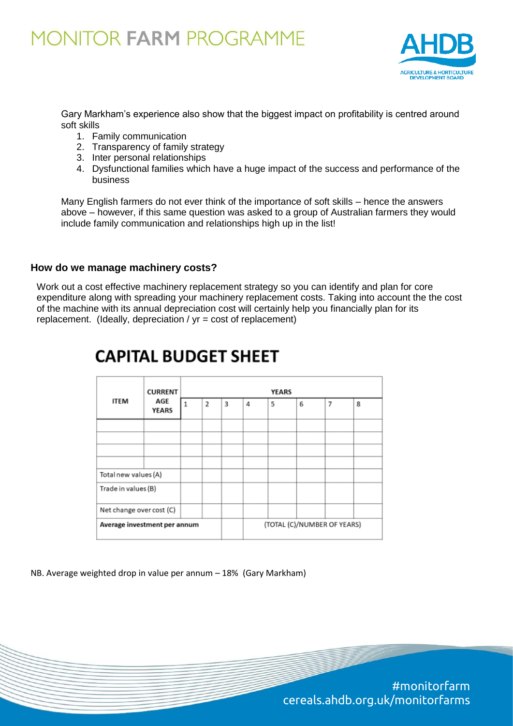

Gary Markham's experience also show that the biggest impact on profitability is centred around soft skills

- 1. Family communication
- 2. Transparency of family strategy
- 3. Inter personal relationships
- 4. Dysfunctional families which have a huge impact of the success and performance of the business

Many English farmers do not ever think of the importance of soft skills – hence the answers above – however, if this same question was asked to a group of Australian farmers they would include family communication and relationships high up in the list!

#### **How do we manage machinery costs?**

Work out a cost effective machinery replacement strategy so you can identify and plan for core expenditure along with spreading your machinery replacement costs. Taking into account the the cost of the machine with its annual depreciation cost will certainly help you financially plan for its replacement. (Ideally, depreciation / yr = cost of replacement)

| <b>ITEM</b>                  | <b>CURRENT</b><br>AGE<br>YEARS | YEARS |                             |   |   |   |   |   |   |
|------------------------------|--------------------------------|-------|-----------------------------|---|---|---|---|---|---|
|                              |                                | 1     | 2                           | 3 | 4 | 5 | 6 | 7 | 8 |
|                              |                                |       |                             |   |   |   |   |   |   |
|                              |                                |       |                             |   |   |   |   |   |   |
| Total new values (A)         |                                |       |                             |   |   |   |   |   |   |
| Trade in values (B)          |                                |       |                             |   |   |   |   |   |   |
| Net change over cost (C)     |                                |       |                             |   |   |   |   |   |   |
| Average investment per annum |                                |       | (TOTAL (C)/NUMBER OF YEARS) |   |   |   |   |   |   |

### **CAPITAL BUDGET SHEET**

NB. Average weighted drop in value per annum – 18% (Gary Markham)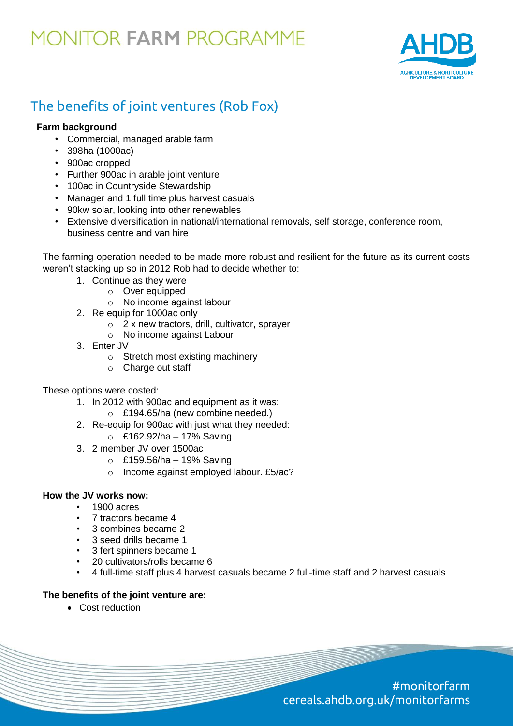

### The benefits of joint ventures (Rob Fox)

#### **Farm background**

- Commercial, managed arable farm
- 398ha (1000ac)
- 900ac cropped
- Further 900ac in arable joint venture
- 100ac in Countryside Stewardship
- Manager and 1 full time plus harvest casuals
- 90kw solar, looking into other renewables
- Extensive diversification in national/international removals, self storage, conference room, business centre and van hire

The farming operation needed to be made more robust and resilient for the future as its current costs weren't stacking up so in 2012 Rob had to decide whether to:

- 1. Continue as they were
	- o Over equipped
	- o No income against labour
- 2. Re equip for 1000ac only
	- o 2 x new tractors, drill, cultivator, sprayer
	- o No income against Labour
- 3. Enter JV
	- o Stretch most existing machinery
	- o Charge out staff

These options were costed:

- 1. In 2012 with 900ac and equipment as it was:
	- o £194.65/ha (new combine needed.)
- 2. Re-equip for 900ac with just what they needed:
	- $\circ$  £162.92/ha 17% Saving
- 3. 2 member JV over 1500ac
	- $\circ$  £159.56/ha 19% Saving
	- o Income against employed labour. £5/ac?

#### **How the JV works now:**

- 1900 acres
- 7 tractors became 4
- 3 combines became 2
- 3 seed drills became 1
- 3 fert spinners became 1
- 20 cultivators/rolls became 6
- 4 full-time staff plus 4 harvest casuals became 2 full-time staff and 2 harvest casuals

#### **The benefits of the joint venture are:**

Cost reduction